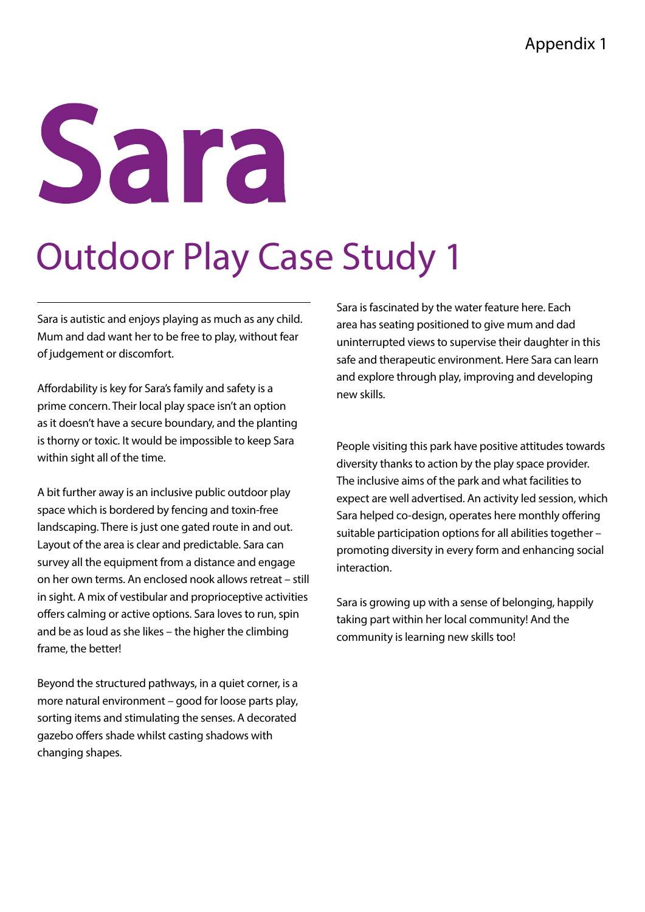### Sara

#### Outdoor Play Case Study 1

Sara is autistic and enjoys playing as much as any child. Mum and dad want her to be free to play, without fear of judgement or discomfort.

Affordability is key for Sara's family and safety is a prime concern. Their local play space isn't an option as it doesn't have a secure boundary, and the planting is thorny or toxic. It would be impossible to keep Sara within sight all of the time.

A bit further away is an inclusive public outdoor play space which is bordered by fencing and toxin-free landscaping. There is just one gated route in and out. Layout of the area is clear and predictable. Sara can survey all the equipment from a distance and engage on her own terms. An enclosed nook allows retreat – still in sight. A mix of vestibular and proprioceptive activities offers calming or active options. Sara loves to run, spin and be as loud as she likes – the higher the climbing frame, the better!

Beyond the structured pathways, in a quiet corner, is a more natural environment – good for loose parts play, sorting items and stimulating the senses. A decorated gazebo offers shade whilst casting shadows with changing shapes.

Sara is fascinated by the water feature here. Each area has seating positioned to give mum and dad uninterrupted views to supervise their daughter in this safe and therapeutic environment. Here Sara can learn and explore through play, improving and developing new skills.

People visiting this park have positive attitudes towards diversity thanks to action by the play space provider. The inclusive aims of the park and what facilities to expect are well advertised. An activity led session, which Sara helped co-design, operates here monthly offering suitable participation options for all abilities together – promoting diversity in every form and enhancing social interaction.

Sara is growing up with a sense of belonging, happily taking part within her local community! And the community is learning new skills too!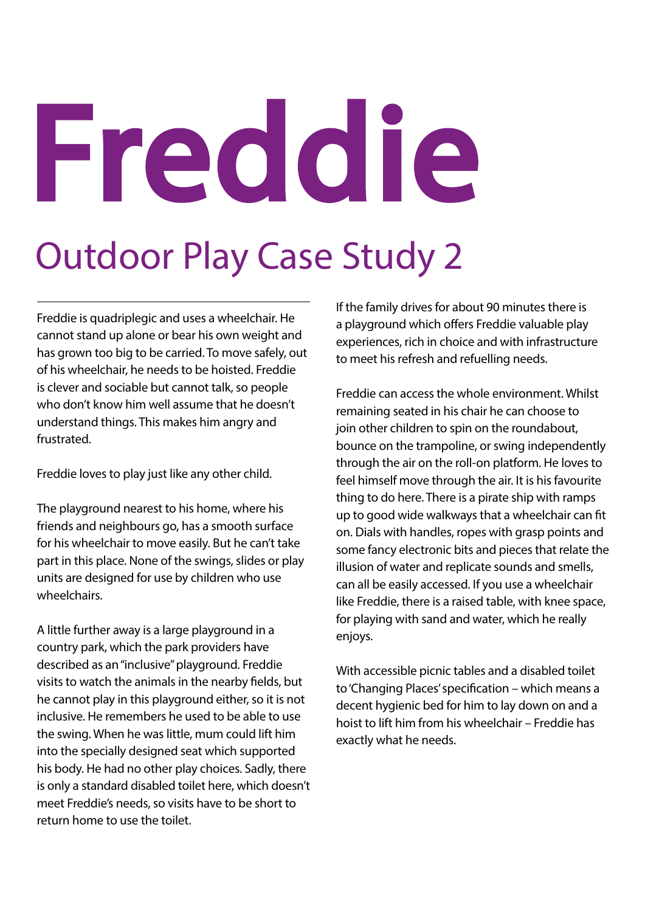# Freddie

#### Outdoor Play Case Study 2

Freddie is quadriplegic and uses a wheelchair. He cannot stand up alone or bear his own weight and has grown too big to be carried. To move safely, out of his wheelchair, he needs to be hoisted. Freddie is clever and sociable but cannot talk, so people who don't know him well assume that he doesn't understand things. This makes him angry and frustrated.

Freddie loves to play just like any other child.

The playground nearest to his home, where his friends and neighbours go, has a smooth surface for his wheelchair to move easily. But he can't take part in this place. None of the swings, slides or play units are designed for use by children who use wheelchairs.

A little further away is a large playground in a country park, which the park providers have described as an "inclusive" playground. Freddie visits to watch the animals in the nearby fields, but he cannot play in this playground either, so it is not inclusive. He remembers he used to be able to use the swing. When he was little, mum could lift him into the specially designed seat which supported his body. He had no other play choices. Sadly, there is only a standard disabled toilet here, which doesn't meet Freddie's needs, so visits have to be short to return home to use the toilet.

If the family drives for about 90 minutes there is a playground which offers Freddie valuable play experiences, rich in choice and with infrastructure to meet his refresh and refuelling needs.

Freddie can access the whole environment. Whilst remaining seated in his chair he can choose to join other children to spin on the roundabout, bounce on the trampoline, or swing independently through the air on the roll-on platform. He loves to feel himself move through the air. It is his favourite thing to do here. There is a pirate ship with ramps up to good wide walkways that a wheelchair can fit on. Dials with handles, ropes with grasp points and some fancy electronic bits and pieces that relate the illusion of water and replicate sounds and smells, can all be easily accessed. If you use a wheelchair like Freddie, there is a raised table, with knee space, for playing with sand and water, which he really enjoys.

With accessible picnic tables and a disabled toilet to 'Changing Places' specification – which means a decent hygienic bed for him to lay down on and a hoist to lift him from his wheelchair – Freddie has exactly what he needs.